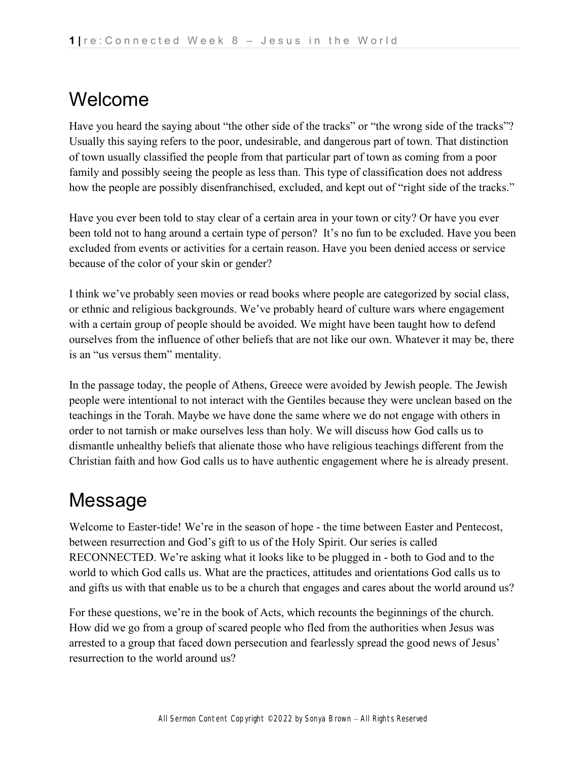## Welcome

Have you heard the saying about "the other side of the tracks" or "the wrong side of the tracks"? Usually this saying refers to the poor, undesirable, and dangerous part of town. That distinction of town usually classified the people from that particular part of town as coming from a poor family and possibly seeing the people as less than. This type of classification does not address how the people are possibly disenfranchised, excluded, and kept out of "right side of the tracks."

Have you ever been told to stay clear of a certain area in your town or city? Or have you ever been told not to hang around a certain type of person? It's no fun to be excluded. Have you been excluded from events or activities for a certain reason. Have you been denied access or service because of the color of your skin or gender?

I think we've probably seen movies or read books where people are categorized by social class, or ethnic and religious backgrounds. We've probably heard of culture wars where engagement with a certain group of people should be avoided. We might have been taught how to defend ourselves from the influence of other beliefs that are not like our own. Whatever it may be, there is an "us versus them" mentality.

In the passage today, the people of Athens, Greece were avoided by Jewish people. The Jewish people were intentional to not interact with the Gentiles because they were unclean based on the teachings in the Torah. Maybe we have done the same where we do not engage with others in order to not tarnish or make ourselves less than holy. We will discuss how God calls us to dismantle unhealthy beliefs that alienate those who have religious teachings different from the Christian faith and how God calls us to have authentic engagement where he is already present.

## Message

Welcome to Easter-tide! We're in the season of hope - the time between Easter and Pentecost, between resurrection and God's gift to us of the Holy Spirit. Our series is called RECONNECTED. We're asking what it looks like to be plugged in - both to God and to the world to which God calls us. What are the practices, attitudes and orientations God calls us to and gifts us with that enable us to be a church that engages and cares about the world around us?

For these questions, we're in the book of Acts, which recounts the beginnings of the church. How did we go from a group of scared people who fled from the authorities when Jesus was arrested to a group that faced down persecution and fearlessly spread the good news of Jesus' resurrection to the world around us?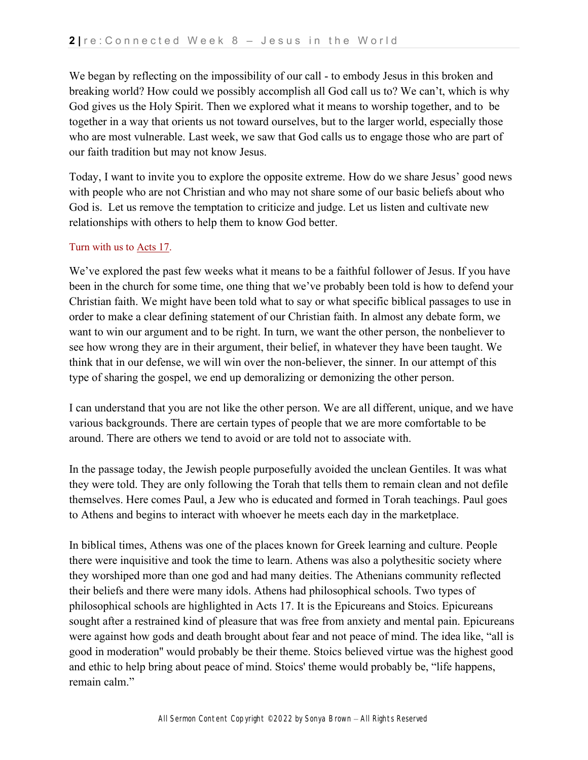We began by reflecting on the impossibility of our call - to embody Jesus in this broken and breaking world? How could we possibly accomplish all God call us to? We can't, which is why God gives us the Holy Spirit. Then we explored what it means to worship together, and to be together in a way that orients us not toward ourselves, but to the larger world, especially those who are most vulnerable. Last week, we saw that God calls us to engage those who are part of our faith tradition but may not know Jesus.

Today, I want to invite you to explore the opposite extreme. How do we share Jesus' good news with people who are not Christian and who may not share some of our basic beliefs about who God is. Let us remove the temptation to criticize and judge. Let us listen and cultivate new relationships with others to help them to know God better.

#### Turn with us t[o](https://ref.ly/logosref/bible$2Bnlt.65.17) [Acts 17.](https://ref.ly/logosref/bible$2Bnlt.65.17)

We've explored the past few weeks what it means to be a faithful follower of Jesus. If you have been in the church for some time, one thing that we've probably been told is how to defend your Christian faith. We might have been told what to say or what specific biblical passages to use in order to make a clear defining statement of our Christian faith. In almost any debate form, we want to win our argument and to be right. In turn, we want the other person, the nonbeliever to see how wrong they are in their argument, their belief, in whatever they have been taught. We think that in our defense, we will win over the non-believer, the sinner. In our attempt of this type of sharing the gospel, we end up demoralizing or demonizing the other person.

I can understand that you are not like the other person. We are all different, unique, and we have various backgrounds. There are certain types of people that we are more comfortable to be around. There are others we tend to avoid or are told not to associate with.

In the passage today, the Jewish people purposefully avoided the unclean Gentiles. It was what they were told. They are only following the Torah that tells them to remain clean and not defile themselves. Here comes Paul, a Jew who is educated and formed in Torah teachings. Paul goes to Athens and begins to interact with whoever he meets each day in the marketplace.

In biblical times, Athens was one of the places known for Greek learning and culture. People there were inquisitive and took the time to learn. Athens was also a polythesitic society where they worshiped more than one god and had many deities. The Athenians community reflected their beliefs and there were many idols. Athens had philosophical schools. Two types of philosophical schools are highlighted in Acts 17. It is the Epicureans and Stoics. Epicureans sought after a restrained kind of pleasure that was free from anxiety and mental pain. Epicureans were against how gods and death brought about fear and not peace of mind. The idea like, "all is good in moderation'' would probably be their theme. Stoics believed virtue was the highest good and ethic to help bring about peace of mind. Stoics' theme would probably be, "life happens, remain calm."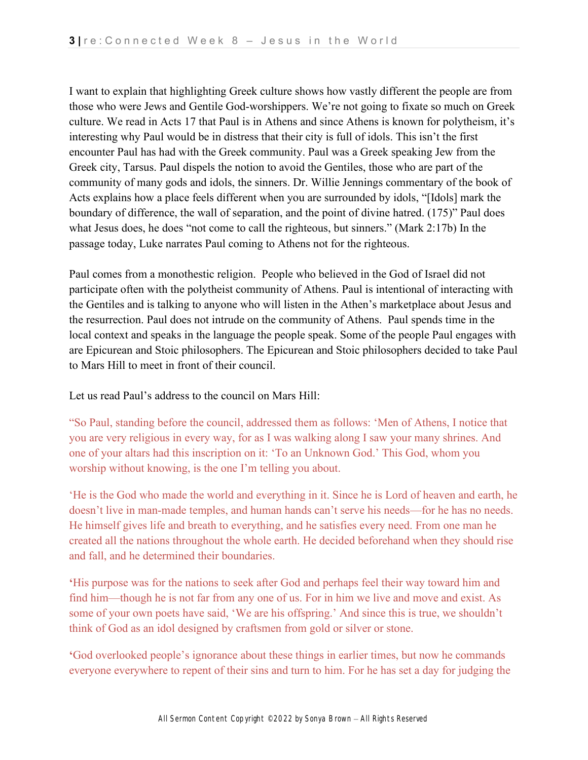I want to explain that highlighting Greek culture shows how vastly different the people are from those who were Jews and Gentile God-worshippers. We're not going to fixate so much on Greek culture. We read in Acts 17 that Paul is in Athens and since Athens is known for polytheism, it's interesting why Paul would be in distress that their city is full of idols. This isn't the first encounter Paul has had with the Greek community. Paul was a Greek speaking Jew from the Greek city, Tarsus. Paul dispels the notion to avoid the Gentiles, those who are part of the community of many gods and idols, the sinners. Dr. Willie Jennings commentary of the book of Acts explains how a place feels different when you are surrounded by idols, "[Idols] mark the boundary of difference, the wall of separation, and the point of divine hatred. (175)" Paul does what Jesus does, he does "not come to call the righteous, but sinners." (Mark 2:17b) In the passage today, Luke narrates Paul coming to Athens not for the righteous.

Paul comes from a monothestic religion. People who believed in the God of Israel did not participate often with the polytheist community of Athens. Paul is intentional of interacting with the Gentiles and is talking to anyone who will listen in the Athen's marketplace about Jesus and the resurrection. Paul does not intrude on the community of Athens. Paul spends time in the local context and speaks in the language the people speak. Some of the people Paul engages with are Epicurean and Stoic philosophers. The Epicurean and Stoic philosophers decided to take Paul to Mars Hill to meet in front of their council.

Let us read Paul's address to the council on Mars Hill:

"So Paul, standing before the council, addressed them as follows: 'Men of Athens, I notice that you are very religious in every way, for as I was walking along I saw your many shrines. And one of your altars had this inscription on it: 'To an Unknown God.' This God, whom you worship without knowing, is the one I'm telling you about.

'He is the God who made the world and everything in it. Since he is Lord of heaven and earth, he doesn't live in man-made temples, and human hands can't serve his needs—for he has no needs. He himself gives life and breath to everything, and he satisfies every need. From one man he created all the nations throughout the whole earth. He decided beforehand when they should rise and fall, and he determined their boundaries.

**'**His purpose was for the nations to seek after God and perhaps feel their way toward him and find him—though he is not far from any one of us. For in him we live and move and exist. As some of your own poets have said, 'We are his offspring.' And since this is true, we shouldn't think of God as an idol designed by craftsmen from gold or silver or stone.

**'**God overlooked people's ignorance about these things in earlier times, but now he commands everyone everywhere to repent of their sins and turn to him. For he has set a day for judging the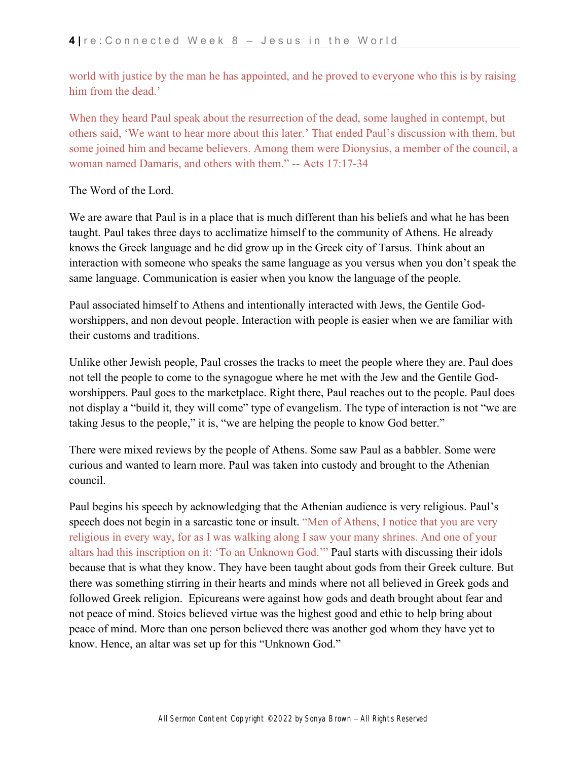world with justice by the man he has appointed, and he proved to everyone who this is by raising him from the dead.'

When they heard Paul speak about the resurrection of the dead, some laughed in contempt, but others said, 'We want to hear more about this later.' That ended Paul's discussion with them, but some joined him and became believers. Among them were Dionysius, a member of the council, a woman named Damaris, and others with them." -- Acts 17:17-34

### The Word of the Lord.

We are aware that Paul is in a place that is much different than his beliefs and what he has been taught. Paul takes three days to acclimatize himself to the community of Athens. He already knows the Greek language and he did grow up in the Greek city of Tarsus. Think about an interaction with someone who speaks the same language as you versus when you don't speak the same language. Communication is easier when you know the language of the people.

Paul associated himself to Athens and intentionally interacted with Jews, the Gentile Godworshippers, and non devout people. Interaction with people is easier when we are familiar with their customs and traditions.

Unlike other Jewish people, Paul crosses the tracks to meet the people where they are. Paul does not tell the people to come to the synagogue where he met with the Jew and the Gentile Godworshippers. Paul goes to the marketplace. Right there, Paul reaches out to the people. Paul does not display a "build it, they will come" type of evangelism. The type of interaction is not "we are taking Jesus to the people," it is, "we are helping the people to know God better."

There were mixed reviews by the people of Athens. Some saw Paul as a babbler. Some were curious and wanted to learn more. Paul was taken into custody and brought to the Athenian council.

Paul begins his speech by acknowledging that the Athenian audience is very religious. Paul's speech does not begin in a sarcastic tone or insult. "Men of Athens, I notice that you are very religious in every way, for as I was walking along I saw your many shrines. And one of your altars had this inscription on it: 'To an Unknown God.'" Paul starts with discussing their idols because that is what they know. They have been taught about gods from their Greek culture. But there was something stirring in their hearts and minds where not all believed in Greek gods and followed Greek religion. Epicureans were against how gods and death brought about fear and not peace of mind. Stoics believed virtue was the highest good and ethic to help bring about peace of mind. More than one person believed there was another god whom they have yet to know. Hence, an altar was set up for this "Unknown God."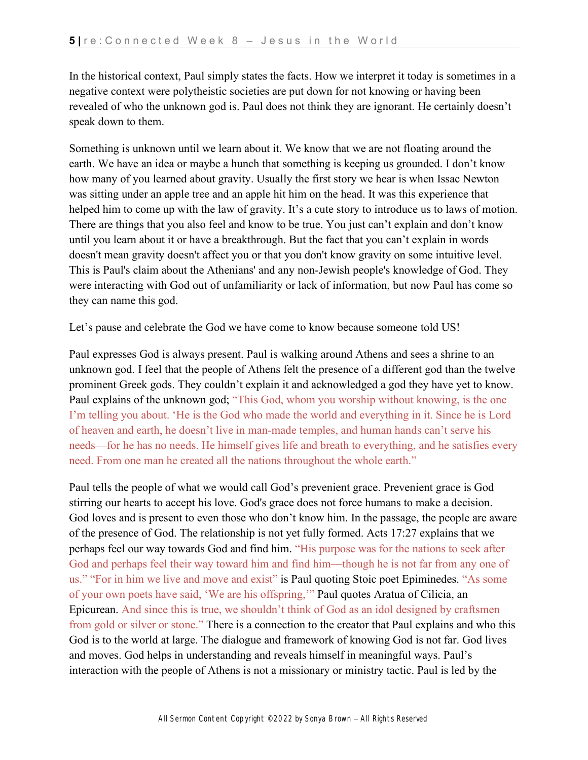In the historical context, Paul simply states the facts. How we interpret it today is sometimes in a negative context were polytheistic societies are put down for not knowing or having been revealed of who the unknown god is. Paul does not think they are ignorant. He certainly doesn't speak down to them.

Something is unknown until we learn about it. We know that we are not floating around the earth. We have an idea or maybe a hunch that something is keeping us grounded. I don't know how many of you learned about gravity. Usually the first story we hear is when Issac Newton was sitting under an apple tree and an apple hit him on the head. It was this experience that helped him to come up with the law of gravity. It's a cute story to introduce us to laws of motion. There are things that you also feel and know to be true. You just can't explain and don't know until you learn about it or have a breakthrough. But the fact that you can't explain in words doesn't mean gravity doesn't affect you or that you don't know gravity on some intuitive level. This is Paul's claim about the Athenians' and any non-Jewish people's knowledge of God. They were interacting with God out of unfamiliarity or lack of information, but now Paul has come so they can name this god.

Let's pause and celebrate the God we have come to know because someone told US!

Paul expresses God is always present. Paul is walking around Athens and sees a shrine to an unknown god. I feel that the people of Athens felt the presence of a different god than the twelve prominent Greek gods. They couldn't explain it and acknowledged a god they have yet to know. Paul explains of the unknown god; "This God, whom you worship without knowing, is the one I'm telling you about. 'He is the God who made the world and everything in it. Since he is Lord of heaven and earth, he doesn't live in man-made temples, and human hands can't serve his needs—for he has no needs. He himself gives life and breath to everything, and he satisfies every need. From one man he created all the nations throughout the whole earth."

Paul tells the people of what we would call God's prevenient grace. Prevenient grace is God stirring our hearts to accept his love. God's grace does not force humans to make a decision. God loves and is present to even those who don't know him. In the passage, the people are aware of the presence of God. The relationship is not yet fully formed. Acts 17:27 explains that we perhaps feel our way towards God and find him. "His purpose was for the nations to seek after God and perhaps feel their way toward him and find him—though he is not far from any one of us." "For in him we live and move and exist" is Paul quoting Stoic poet Epiminedes. "As some of your own poets have said, 'We are his offspring,'" Paul quotes Aratua of Cilicia, an Epicurean. And since this is true, we shouldn't think of God as an idol designed by craftsmen from gold or silver or stone." There is a connection to the creator that Paul explains and who this God is to the world at large. The dialogue and framework of knowing God is not far. God lives and moves. God helps in understanding and reveals himself in meaningful ways. Paul's interaction with the people of Athens is not a missionary or ministry tactic. Paul is led by the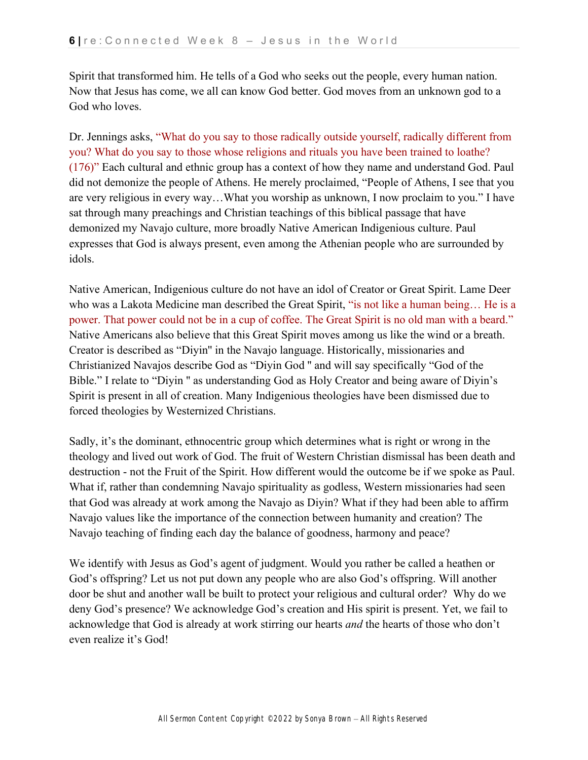Spirit that transformed him. He tells of a God who seeks out the people, every human nation. Now that Jesus has come, we all can know God better. God moves from an unknown god to a God who loves.

Dr. Jennings asks, "What do you say to those radically outside yourself, radically different from you? What do you say to those whose religions and rituals you have been trained to loathe? (176)" Each cultural and ethnic group has a context of how they name and understand God. Paul did not demonize the people of Athens. He merely proclaimed, "People of Athens, I see that you are very religious in every way…What you worship as unknown, I now proclaim to you." I have sat through many preachings and Christian teachings of this biblical passage that have demonized my Navajo culture, more broadly Native American Indigenious culture. Paul expresses that God is always present, even among the Athenian people who are surrounded by idols.

Native American, Indigenious culture do not have an idol of Creator or Great Spirit. Lame Deer who was a Lakota Medicine man described the Great Spirit, "is not like a human being… He is a power. That power could not be in a cup of coffee. The Great Spirit is no old man with a beard." Native Americans also believe that this Great Spirit moves among us like the wind or a breath. Creator is described as "Diyin'' in the Navajo language. Historically, missionaries and Christianized Navajos describe God as "Diyin God '' and will say specifically "God of the Bible." I relate to "Diyin '' as understanding God as Holy Creator and being aware of Diyin's Spirit is present in all of creation. Many Indigenious theologies have been dismissed due to forced theologies by Westernized Christians.

Sadly, it's the dominant, ethnocentric group which determines what is right or wrong in the theology and lived out work of God. The fruit of Western Christian dismissal has been death and destruction - not the Fruit of the Spirit. How different would the outcome be if we spoke as Paul. What if, rather than condemning Navajo spirituality as godless, Western missionaries had seen that God was already at work among the Navajo as Diyin? What if they had been able to affirm Navajo values like the importance of the connection between humanity and creation? The Navajo teaching of finding each day the balance of goodness, harmony and peace?

We identify with Jesus as God's agent of judgment. Would you rather be called a heathen or God's offspring? Let us not put down any people who are also God's offspring. Will another door be shut and another wall be built to protect your religious and cultural order? Why do we deny God's presence? We acknowledge God's creation and His spirit is present. Yet, we fail to acknowledge that God is already at work stirring our hearts *and* the hearts of those who don't even realize it's God!